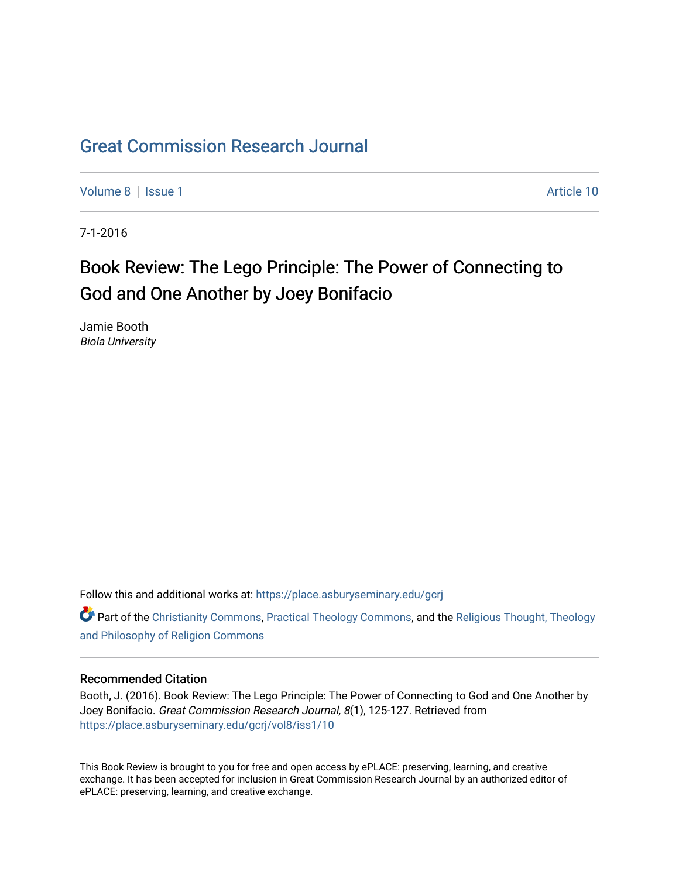## [Great Commission Research Journal](https://place.asburyseminary.edu/gcrj)

[Volume 8](https://place.asburyseminary.edu/gcrj/vol8) | [Issue 1](https://place.asburyseminary.edu/gcrj/vol8/iss1) Article 10

7-1-2016

## Book Review: The Lego Principle: The Power of Connecting to God and One Another by Joey Bonifacio

Jamie Booth Biola University

Follow this and additional works at: [https://place.asburyseminary.edu/gcrj](https://place.asburyseminary.edu/gcrj?utm_source=place.asburyseminary.edu%2Fgcrj%2Fvol8%2Fiss1%2F10&utm_medium=PDF&utm_campaign=PDFCoverPages) 

**C** Part of the [Christianity Commons,](http://network.bepress.com/hgg/discipline/1181?utm_source=place.asburyseminary.edu%2Fgcrj%2Fvol8%2Fiss1%2F10&utm_medium=PDF&utm_campaign=PDFCoverPages) [Practical Theology Commons](http://network.bepress.com/hgg/discipline/1186?utm_source=place.asburyseminary.edu%2Fgcrj%2Fvol8%2Fiss1%2F10&utm_medium=PDF&utm_campaign=PDFCoverPages), and the Religious Thought, Theology [and Philosophy of Religion Commons](http://network.bepress.com/hgg/discipline/544?utm_source=place.asburyseminary.edu%2Fgcrj%2Fvol8%2Fiss1%2F10&utm_medium=PDF&utm_campaign=PDFCoverPages)

## Recommended Citation

Booth, J. (2016). Book Review: The Lego Principle: The Power of Connecting to God and One Another by Joey Bonifacio. Great Commission Research Journal, 8(1), 125-127. Retrieved from [https://place.asburyseminary.edu/gcrj/vol8/iss1/10](https://place.asburyseminary.edu/gcrj/vol8/iss1/10?utm_source=place.asburyseminary.edu%2Fgcrj%2Fvol8%2Fiss1%2F10&utm_medium=PDF&utm_campaign=PDFCoverPages) 

This Book Review is brought to you for free and open access by ePLACE: preserving, learning, and creative exchange. It has been accepted for inclusion in Great Commission Research Journal by an authorized editor of ePLACE: preserving, learning, and creative exchange.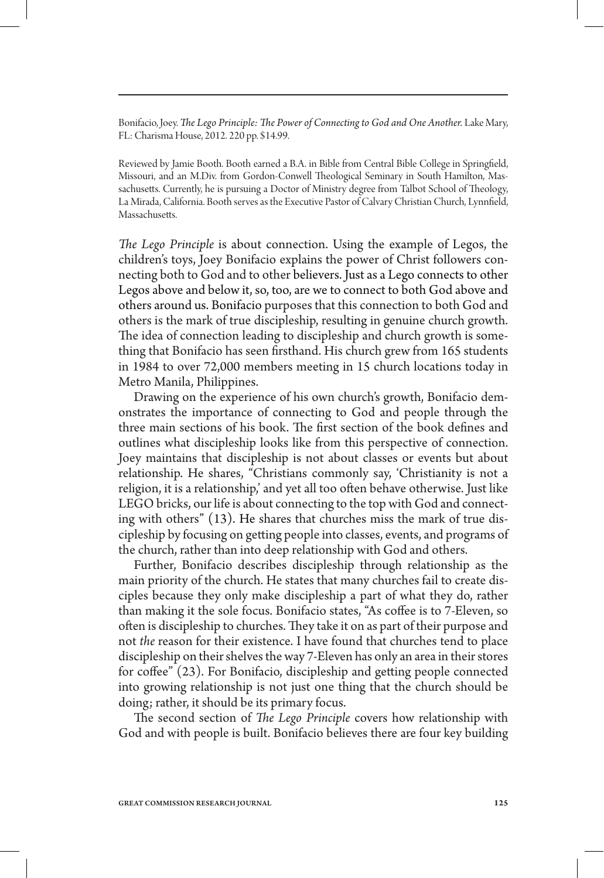Bonifacio, Joey. *The Lego Principle: The Power of Connecting to God and One Another. Lake Mary,* FL: Charisma House, 2012. 220 pp. \$14.99.

Reviewed by Jamie Booth. Booth earned a B.A. in Bible from Central Bible College in Springfield, Missouri, and an M.Div. from Gordon-Conwell Theological Seminary in South Hamilton, Massachusetts. Currently, he is pursuing a Doctor of Ministry degree from Talbot School of Theology, La Mirada, California. Booth serves as the Executive Pastor of Calvary Christian Church, Lynnfield, Massachusetts.

*The Lego Principle* is about connection. Using the example of Legos, the children's toys, Joey Bonifacio explains the power of Christ followers connecting both to God and to other believers. Just as a Lego connects to other Legos above and below it, so, too, are we to connect to both God above and others around us. Bonifacio purposes that this connection to both God and others is the mark of true discipleship, resulting in genuine church growth. The idea of connection leading to discipleship and church growth is something that Bonifacio has seen firsthand. His church grew from 165 students in 1984 to over 72,000 members meeting in 15 church locations today in Metro Manila, Philippines.

Drawing on the experience of his own church's growth, Bonifacio demonstrates the importance of connecting to God and people through the three main sections of his book. The first section of the book defines and outlines what discipleship looks like from this perspective of connection. Joey maintains that discipleship is not about classes or events but about relationship. He shares, "Christians commonly say, 'Christianity is not a religion, it is a relationship,' and yet all too often behave otherwise. Just like LEGO bricks, our life is about connecting to the top with God and connecting with others" (13). He shares that churches miss the mark of true discipleship by focusing on getting people into classes, events, and programs of the church, rather than into deep relationship with God and others.

Further, Bonifacio describes discipleship through relationship as the main priority of the church. He states that many churches fail to create disciples because they only make discipleship a part of what they do, rather than making it the sole focus. Bonifacio states, "As coffee is to 7-Eleven, so often is discipleship to churches. They take it on as part of their purpose and not *the* reason for their existence. I have found that churches tend to place discipleship on their shelves the way 7-Eleven has only an area in their stores for coffee" (23). For Bonifacio, discipleship and getting people connected into growing relationship is not just one thing that the church should be doing; rather, it should be its primary focus.

The second section of *The Lego Principle* covers how relationship with God and with people is built. Bonifacio believes there are four key building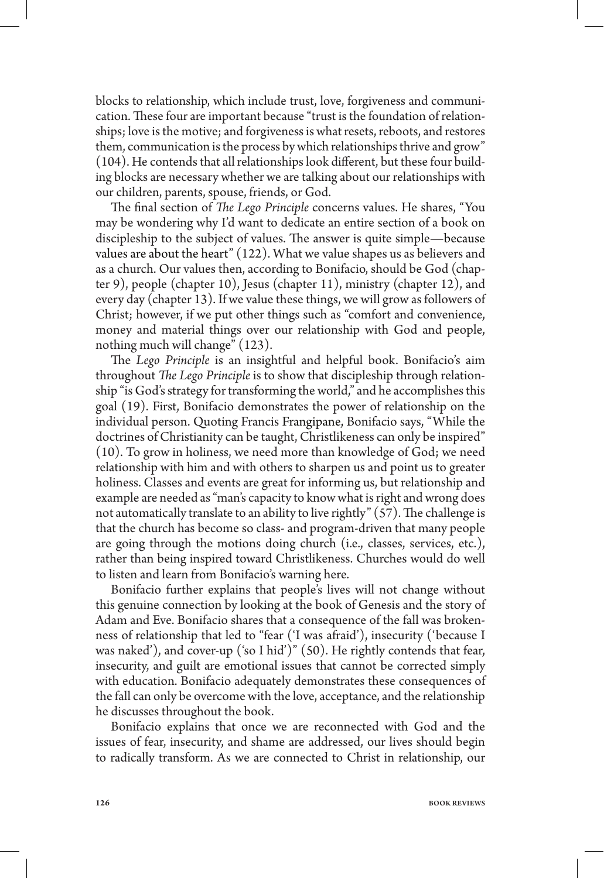blocks to relationship, which include trust, love, forgiveness and communication. These four are important because "trust is the foundation of relationships; love is the motive; and forgiveness is what resets, reboots, and restores them, communication is the process by which relationships thrive and grow" (104). He contends that all relationships look different, but these four building blocks are necessary whether we are talking about our relationships with our children, parents, spouse, friends, or God.

The final section of *The Lego Principle* concerns values. He shares, "You may be wondering why I'd want to dedicate an entire section of a book on discipleship to the subject of values. The answer is quite simple—because values are about the heart" (122). What we value shapes us as believers and as a church. Our values then, according to Bonifacio, should be God (chapter 9), people (chapter 10), Jesus (chapter 11), ministry (chapter 12), and every day (chapter 13). If we value these things, we will grow as followers of Christ; however, if we put other things such as "comfort and convenience, money and material things over our relationship with God and people, nothing much will change" (123).

The *Lego Principle* is an insightful and helpful book. Bonifacio's aim throughout *The Lego Principle* is to show that discipleship through relationship "is God's strategy for transforming the world," and he accomplishes this goal (19). First, Bonifacio demonstrates the power of relationship on the individual person. Quoting Francis Frangipane, Bonifacio says, "While the doctrines of Christianity can be taught, Christlikeness can only be inspired" (10). To grow in holiness, we need more than knowledge of God; we need relationship with him and with others to sharpen us and point us to greater holiness. Classes and events are great for informing us, but relationship and example are needed as "man's capacity to know what is right and wrong does not automatically translate to an ability to live rightly" (57). The challenge is that the church has become so class- and program-driven that many people are going through the motions doing church (i.e., classes, services, etc.), rather than being inspired toward Christlikeness. Churches would do well to listen and learn from Bonifacio's warning here.

Bonifacio further explains that people's lives will not change without this genuine connection by looking at the book of Genesis and the story of Adam and Eve. Bonifacio shares that a consequence of the fall was brokenness of relationship that led to "fear ('I was afraid'), insecurity ('because I was naked'), and cover-up ('so I hid')" (50). He rightly contends that fear, insecurity, and guilt are emotional issues that cannot be corrected simply with education. Bonifacio adequately demonstrates these consequences of the fall can only be overcome with the love, acceptance, and the relationship he discusses throughout the book.

Bonifacio explains that once we are reconnected with God and the issues of fear, insecurity, and shame are addressed, our lives should begin to radically transform. As we are connected to Christ in relationship, our